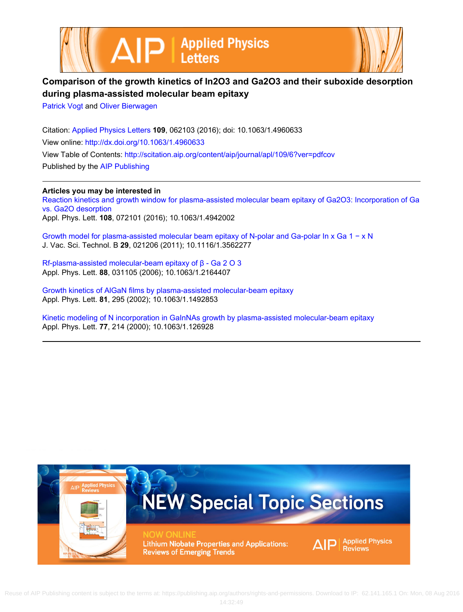



## **Comparison of the growth kinetics of In2O3 and Ga2O3 and their suboxide desorption during plasma-assisted molecular beam epitaxy**

[Patrick Vogt](http://scitation.aip.org/search?value1=Patrick+Vogt&option1=author) and [Oliver Bierwagen](http://scitation.aip.org/search?value1=Oliver+Bierwagen&option1=author)

Citation: [Applied Physics Letters](http://scitation.aip.org/content/aip/journal/apl?ver=pdfcov) **109**, 062103 (2016); doi: 10.1063/1.4960633 View online: <http://dx.doi.org/10.1063/1.4960633> View Table of Contents: <http://scitation.aip.org/content/aip/journal/apl/109/6?ver=pdfcov> Published by the [AIP Publishing](http://scitation.aip.org/content/aip?ver=pdfcov)

**Articles you may be interested in** [Reaction kinetics and growth window for plasma-assisted molecular beam epitaxy of Ga2O3: Incorporation of Ga](http://scitation.aip.org/content/aip/journal/apl/108/7/10.1063/1.4942002?ver=pdfcov) [vs. Ga2O desorption](http://scitation.aip.org/content/aip/journal/apl/108/7/10.1063/1.4942002?ver=pdfcov) Appl. Phys. Lett. **108**, 072101 (2016); 10.1063/1.4942002

[Growth model for plasma-assisted molecular beam epitaxy of N-polar and Ga-polar In x Ga 1 − x N](http://scitation.aip.org/content/avs/journal/jvstb/29/2/10.1116/1.3562277?ver=pdfcov) J. Vac. Sci. Technol. B **29**, 021206 (2011); 10.1116/1.3562277

[Rf-plasma-assisted molecular-beam epitaxy of β - Ga 2 O 3](http://scitation.aip.org/content/aip/journal/apl/88/3/10.1063/1.2164407?ver=pdfcov) Appl. Phys. Lett. **88**, 031105 (2006); 10.1063/1.2164407

[Growth kinetics of AlGaN films by plasma-assisted molecular-beam epitaxy](http://scitation.aip.org/content/aip/journal/apl/81/2/10.1063/1.1492853?ver=pdfcov) Appl. Phys. Lett. **81**, 295 (2002); 10.1063/1.1492853

[Kinetic modeling of N incorporation in GaInNAs growth by plasma-assisted molecular-beam epitaxy](http://scitation.aip.org/content/aip/journal/apl/77/2/10.1063/1.126928?ver=pdfcov) Appl. Phys. Lett. **77**, 214 (2000); 10.1063/1.126928

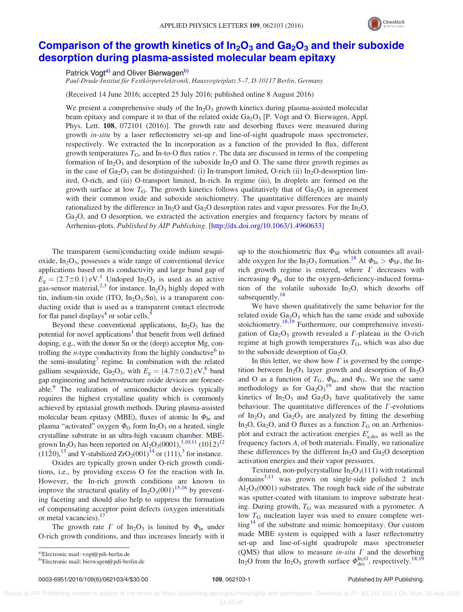

## Comparison of the growth kinetics of  $In_2O_3$  and  $Ga_2O_3$  [and their suboxide](http://dx.doi.org/10.1063/1.4960633) [desorption during plasma-assisted molecular beam epitaxy](http://dx.doi.org/10.1063/1.4960633)

Patrick Vogt<sup>a)</sup> and Oliver Bierwagen<sup>b)</sup>

Paul-Drude-Institut für Festkörperelektronik, Hausvogteiplatz 5–7, D-10117 Berlin, Germany

(Received 14 June 2016; accepted 25 July 2016; published online 8 August 2016)

We present a comprehensive study of the  $In_2O_3$  growth kinetics during plasma-assisted molecular beam epitaxy and compare it to that of the related oxide  $Ga_2O_3$  [P. Vogt and O. Bierwagen, Appl. Phys. Lett. 108, 072101 (2016)]. The growth rate and desorbing fluxes were measured during growth *in-situ* by a laser reflectometry set-up and line-of-sight quadrupole mass spectrometer, respectively. We extracted the In incorporation as a function of the provided In flux, different growth temperatures  $T_G$ , and In-to-O flux ratios r. The data are discussed in terms of the competing formation of In<sub>2</sub>O<sub>3</sub> and desorption of the suboxide In<sub>2</sub>O and O. The same three growth regimes as in the case of  $Ga_2O_3$  can be distinguished: (i) In-transport limited, O-rich (ii) In<sub>2</sub>O-desorption limited, O-rich, and (iii) O-transport limited, In-rich. In regime (iii), In droplets are formed on the growth surface at low  $T_{\rm G}$ . The growth kinetics follows qualitatively that of  $Ga_2O_3$  in agreement with their common oxide and suboxide stoichiometry. The quantitative differences are mainly rationalized by the difference in  $In_2O$  and  $Ga_2O$  desorption rates and vapor pressures. For the  $In_2O$ ,  $Ga<sub>2</sub>O$ , and O desorption, we extracted the activation energies and frequency factors by means of Arrhenius-plots. Published by AIP Publishing. [\[http://dx.doi.org/10.1063/1.4960633](http://dx.doi.org/10.1063/1.4960633)]

The transparent (semi)conducting oxide indium sesquioxide,  $In_2O_3$ , possesses a wide range of conventional device applications based on its conductivity and large band gap of  $E<sub>g</sub> = (2.7 \pm 0.1)$  $E<sub>g</sub> = (2.7 \pm 0.1)$  $E<sub>g</sub> = (2.7 \pm 0.1)$  eV.<sup>1</sup> Undoped In<sub>2</sub>O<sub>3</sub> is used as an active gas-sensor material,  $2,3$  for instance. In<sub>2</sub>O<sub>3</sub> highly doped with tin, indium-tin oxide (ITO,  $In_2O_3:Sn$ ), is a transparent conducting oxide that is used as a transparent contact electrode for flat panel displays<sup>[4](#page-4-0)</sup> or solar cells.<sup>[5](#page-4-0)</sup>

Beyond these conventional applications,  $In<sub>2</sub>O<sub>3</sub>$  has the potential for novel applications<sup>1</sup> that benefit from well defined doping, e.g., with the donor Sn or the (deep) acceptor Mg, controlling the *n*-type conductivity from the highly conductive $\sigma$  to the semi-insulating<sup>[7](#page-4-0)</sup> regime. In combination with the related gallium sesquioxide, Ga<sub>2</sub>O<sub>3</sub>, with  $E<sub>g</sub> = (4.7 \pm 0.2) eV<sub>1</sub><sup>8</sup>$  band gap engineering and heterostructure oxide devices are foresee-able.<sup>[9](#page-4-0)</sup> The realization of semiconductor devices typically requires the highest crystalline quality which is commonly achieved by epitaxial growth methods. During plasma-assisted molecular beam epitaxy (MBE), fluxes of atomic In  $\Phi_{\text{In}}$  and plasma "activated" oxygen  $\Phi_0$  form In<sub>2</sub>O<sub>3</sub> on a heated, single crystalline substrate in an ultra-high vacuum chamber. MBEgrown In<sub>2</sub>O<sub>3</sub> has been reported on Al<sub>2</sub>O<sub>3</sub>(0001),<sup>3,10,11</sup> (10 $\bar{1}2$ )<sup>[12](#page-4-0)</sup>  $(11\bar{2}0)$ ,<sup>13</sup> and Y-stabilized ZrO<sub>2</sub>(001)<sup>14</sup> or (111),<sup>3</sup> for instance.

Oxides are typically grown under O-rich growth conditions, i.e., by providing excess O for the reaction with In. However, the In-rich growth conditions are known to improve the structural quality of  $In_2O_3(001)^{15,16}$  $In_2O_3(001)^{15,16}$  $In_2O_3(001)^{15,16}$  by preventing faceting and should also help to suppress the formation of compensating acceptor point defects (oxygen interstitials or metal vacancies).<sup>[17](#page-4-0)</sup>

The growth rate  $\Gamma$  of In<sub>2</sub>O<sub>3</sub> is limited by  $\Phi_{\text{In}}$  under O-rich growth conditions, and thus increases linearly with it

We have shown qualitatively the same behavior for the related oxide  $Ga<sub>2</sub>O<sub>3</sub>$  which has the same oxide and suboxide stoichiometry.<sup>[18,19](#page-4-0)</sup> Furthermore, our comprehensive investigation of  $Ga<sub>2</sub>O<sub>3</sub>$  growth revealed a  $\Gamma$ -plateau in the O-rich regime at high growth temperatures  $T<sub>G</sub>$ , which was also due to the suboxide desorption of  $Ga<sub>2</sub>O$ .

In this letter, we show how  $\Gamma$  is governed by the competition between  $In_2O_3$  layer growth and desorption of  $In_2O$ and O as a function of  $T_{\text{G}}$ ,  $\Phi_{\text{In}}$ , and  $\Phi_{\text{O}}$ . We use the same methodology as for  $Ga_2O_3^{19}$  $Ga_2O_3^{19}$  $Ga_2O_3^{19}$  and show that the reaction kinetics of  $In_2O_3$  and  $Ga_2O_3$  have qualitatively the same behaviour. The quantitative differences of the  $\Gamma$ -evolutions of In<sub>2</sub>O<sub>3</sub> and Ga<sub>2</sub>O<sub>3</sub> are analyzed by fitting the desorbing In<sub>2</sub>O, Ga<sub>2</sub>O, and O fluxes as a function  $T_G$  on an Arrheniusplot and extract the activation energies  $E_{a,\text{des}}^i$  as well as the frequency factors  $A_i$  of both materials. Finally, we rationalize these differences by the different  $In_2O$  and  $Ga_2O$  desorption activation energies and their vapor pressures.

Textured, non-polycrystalline  $In<sub>2</sub>O<sub>3</sub>(111)$  with rotational domains $3,11$  was grown on single-side polished 2 inch  $Al_2O_3(0001)$  substrates. The rough back side of the substrate was sputter-coated with titanium to improve substrate heating. During growth,  $T_G$  was measured with a pyrometer. A low  $T<sub>G</sub>$  nucleation layer was used to ensure complete wet- $\frac{14}{9}$  $\frac{14}{9}$  $\frac{14}{9}$  of the substrate and mimic homoepitaxy. Our custom made MBE system is equipped with a laser reflectometry set-up and line-of-sight quadrupole mass spectrometer (QMS) that allow to measure *in-situ*  $\Gamma$  and the desorbing In<sub>2</sub>O from the In<sub>2</sub>O<sub>3</sub> growth surface  $\Phi_{\text{des}}^{\text{In}_2\text{O}}$ , respectively.<sup>[18,19](#page-4-0)</sup>

up to the stoichiometric flux  $\Phi_{\rm SF}$  which consumes all avail-able oxygen for the In<sub>2</sub>O<sub>3</sub> formation.<sup>[18](#page-4-0)</sup> At  $\Phi_{\text{In}} > \Phi_{\text{SF}}$ , the Inrich growth regime is entered, where  $\Gamma$  decreases with increasing  $\Phi_{\text{In}}$  due to the oxygen-deficiency-induced formation of the volatile suboxide  $In_2O$ , which desorbs off subsequently.<sup>[18](#page-4-0)</sup>

a)Electronic mail: [vogt@pdi-berlin.de](mailto:vogt@pdi-berlin.de)

b)Electronic mail: [bierwagen@pdi-berlin.de](mailto:bierwagen@pdi-berlin.de)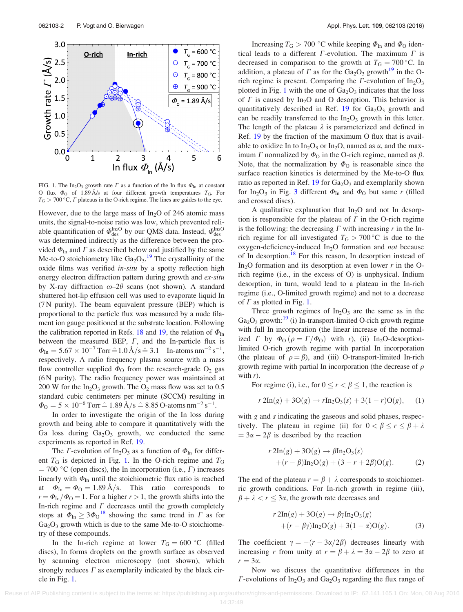<span id="page-2-0"></span>

FIG. 1. The In<sub>2</sub>O<sub>3</sub> growth rate  $\Gamma$  as a function of the In flux  $\Phi$ <sub>In</sub> at constant O flux  $\Phi_0$  of 1.89  $A/s$  at four different growth temperatures  $T_G$ . For  $T_G > 700 °C$ ,  $\Gamma$  plateaus in the O-rich regime. The lines are guides to the eye.

However, due to the large mass of  $In_2O$  of 246 atomic mass units, the signal-to-noise ratio was low, which prevented reliable quantification of  $\Phi_{\rm des}^{\rm In_2O}$  by our QMS data. Instead,  $\Phi_{\rm des}^{\rm In_2O}$ was determined indirectly as the difference between the provided  $\Phi_{\text{In}}$  and  $\Gamma$  as described below and justified by the same Me-to-O stoichiometry like  $Ga_2O_3$ .<sup>[19](#page-4-0)</sup> The crystallinity of the oxide films was verified in-situ by a spotty reflection high energy electron diffraction pattern during growth and ex-situ by X-ray diffraction  $\omega$ –2 $\theta$  scans (not shown). A standard shuttered hot-lip effusion cell was used to evaporate liquid In (7 N purity). The beam equivalent pressure (BEP) which is proportional to the particle flux was measured by a nude filament ion gauge positioned at the substrate location. Following the calibration reported in Refs. [18](#page-4-0) and [19,](#page-4-0) the relation of  $\Phi_{\text{In}}$ between the measured BEP,  $\Gamma$ , and the In-particle flux is  $\Phi_{\text{In}} = 5.67 \times 10^{-7} \text{ Torr} \hat{=} 1.0 \text{ Å/s} \hat{=} 3.1 \text{ In-atoms nm}^{-2} \text{ s}^{-1},$ respectively. A radio frequency plasma source with a mass flow controller supplied  $\Phi_{\text{O}}$  from the research-grade  $\text{O}_2$  gas (6 N purity). The radio frequency power was maintained at 200 W for the  $In_2O_3$  growth. The  $O_2$  mass flow was set to 0.5 standard cubic centimeters per minute (SCCM) resulting in  $\Phi_{\rm O} = 5 \times 10^{-6}$  Torr  $\hat{=} 1.89$   $\rm \AA/s \hat{=} 8.85$  O-atoms nm<sup>-2</sup> s<sup>-1</sup>.

In order to investigate the origin of the In loss during growth and being able to compare it quantitatively with the Ga loss during  $Ga<sub>2</sub>O<sub>3</sub>$  growth, we conducted the same experiments as reported in Ref. [19](#page-4-0).

The *Γ*-evolution of In<sub>2</sub>O<sub>3</sub> as a function of  $\Phi_{\text{In}}$  for different  $T<sub>G</sub>$  is depicted in Fig. 1. In the O-rich regime and  $T<sub>G</sub>$  $= 700$  °C (open discs), the In incorporation (i.e.,  $\Gamma$ ) increases linearly with  $\Phi_{\text{In}}$  until the stoichiometric flux ratio is reached at  $\Phi_{\text{In}} = \Phi_{\text{O}} = 1.89 \text{ Å/s}$ . This ratio corresponds to  $r = \Phi_{\text{In}}/\Phi_{\text{O}} = 1$ . For a higher  $r > 1$ , the growth shifts into the In-rich regime and  $\Gamma$  decreases until the growth completely stops at  $\Phi_{\text{In}} \geq 3\Phi_0^{-18}$  $\Phi_{\text{In}} \geq 3\Phi_0^{-18}$  $\Phi_{\text{In}} \geq 3\Phi_0^{-18}$  showing the same trend in  $\Gamma$  as for  $Ga<sub>2</sub>O<sub>3</sub>$  growth which is due to the same Me-to-O stoichiometry of these compounds.

In the In-rich regime at lower  $T_{\text{G}} = 600 \degree \text{C}$  (filled discs), In forms droplets on the growth surface as observed by scanning electron microscopy (not shown), which strongly reduces  $\Gamma$  as exemplarily indicated by the black circle in Fig. 1.

Increasing  $T_G > 700$  °C while keeping  $\Phi_{In}$  and  $\Phi_{O}$  identical leads to a different  $\Gamma$ -evolution. The maximum  $\Gamma$  is decreased in comparison to the growth at  $T<sub>G</sub> = 700$  °C. In addition, a plateau of  $\Gamma$  as for the Ga<sub>2</sub>O<sub>3</sub> growth<sup>[19](#page-4-0)</sup> in the Orich regime is present. Comparing the  $\Gamma$ -evolution of In<sub>2</sub>O<sub>3</sub> plotted in Fig. 1 with the one of  $Ga<sub>2</sub>O<sub>3</sub>$  indicates that the loss of  $\Gamma$  is caused by In<sub>2</sub>O and O desorption. This behavior is quantitatively described in Ref. [19](#page-4-0) for  $Ga<sub>2</sub>O<sub>3</sub>$  growth and can be readily transferred to the  $In_2O_3$  growth in this letter. The length of the plateau  $\lambda$  is parameterized and defined in Ref. [19](#page-4-0) by the fraction of the maximum O flux that is available to oxidize In to  $In_2O_3$  or  $In_2O$ , named as  $\alpha$ , and the maximum  $\Gamma$  normalized by  $\Phi$ <sup>O</sup> in the O-rich regime, named as  $\beta$ . Note, that the normalization by  $\Phi_{\text{O}}$  is reasonable since the surface reaction kinetics is determined by the Me-to-O flux ratio as reported in Ref. [19](#page-4-0) for  $Ga<sub>2</sub>O<sub>3</sub>$  and exemplarily shown for In<sub>2</sub>O<sub>[3](#page-3-0)</sub> in Fig. 3 different  $\Phi_{\text{In}}$  and  $\Phi_{\text{O}}$  but same r (filled and crossed discs).

A qualitative explanation that  $In<sub>2</sub>O$  and not In desorption is responsible for the plateau of  $\Gamma$  in the O-rich regime is the following: the decreasing  $\Gamma$  with increasing  $r$  in the Inrich regime for all investigated  $T<sub>G</sub> > 700$  °C is due to the oxygen-deficiency-induced  $In<sub>2</sub>O$  formation and *not* because of In desorption.<sup>[18](#page-4-0)</sup> For this reason, In desorption instead of In<sub>2</sub>O formation and its desorption at even lower  $r$  in the Orich regime (i.e., in the excess of O) is unphysical. Indium desorption, in turn, would lead to a plateau in the In-rich regime (i.e., O-limited growth regime) and not to a decrease of  $\Gamma$  as plotted in Fig. 1.

Three growth regimes of  $In_2O_3$  are the same as in the  $Ga<sub>2</sub>O<sub>3</sub>$  growth:<sup>19</sup> (i) In-transport-limited O-rich growth regime with full In incorporation (the linear increase of the normalized  $\Gamma$  by  $\Phi_{\rm O}$  ( $\rho = \Gamma/\Phi_{\rm O}$ ) with r), (ii) In<sub>2</sub>O-desorptionlimited O-rich growth regime with partial In incorporation (the plateau of  $\rho = \beta$ ), and (iii) O-transport-limited In-rich growth regime with partial In incorporation (the decrease of  $\rho$ with  $r$ ).

For regime (i), i.e., for  $0 \le r < \beta \le 1$ , the reaction is

$$
r 2\text{In}(g) + 3\text{O}(g) \to r\text{In}_2\text{O}_3(s) + 3(1 - r)\text{O}(g), \quad (1)
$$

with g and s indicating the gaseous and solid phases, respectively. The plateau in regime (ii) for  $0 < \beta \le r \le \beta + \lambda$  $= 3\alpha - 2\beta$  is described by the reaction

$$
r 2\text{In}(g) + 3\text{O}(g) \rightarrow \beta \text{In}_2\text{O}_3(s)
$$
  
+(r -  $\beta$ )In<sub>2</sub> $\text{O}(g) + (3 - r + 2\beta)\text{O}(g)$ . (2)

The end of the plateau  $r = \beta + \lambda$  corresponds to stoichiometric growth conditions. For In-rich growth in regime (iii),  $\beta + \lambda < r \leq 3\alpha$ , the growth rate decreases and

$$
r 2\text{In}(g) + 3\text{O}(g) \rightarrow \beta \gamma \text{In}_2\text{O}_3(g)
$$
  
+(r - \beta \gamma)\text{In}\_2\text{O}(g) + 3(1 - \alpha)\text{O}(g). (3)

The coefficient  $\gamma = -(r - 3\alpha/2\beta)$  decreases linearly with increasing r from unity at  $r = \beta + \lambda = 3\alpha - 2\beta$  to zero at  $r = 3\alpha$ .

Now we discuss the quantitative differences in the  $\Gamma$ -evolutions of In<sub>2</sub>O<sub>3</sub> and Ga<sub>2</sub>O<sub>3</sub> regarding the flux range of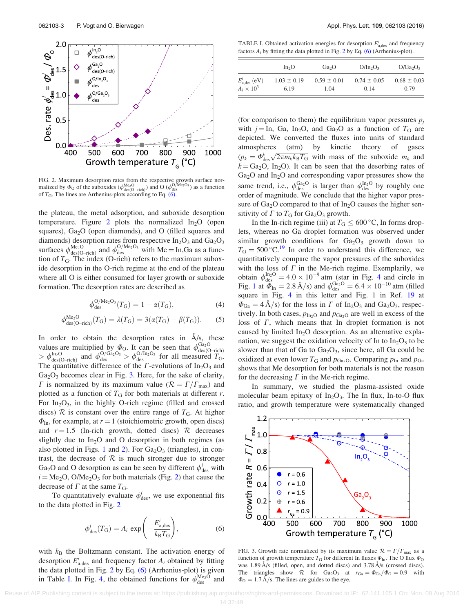<span id="page-3-0"></span>

FIG. 2. Maximum desorption rates from the respective growth surface nor-<br>malized by  $\Phi_{\rm O}$  of the suboxides  $(\phi_{\rm des(O-rich)}^{\rm do}(o)$  and O  $(\phi_{\rm des}^{\rm O/Me2O_3})$  as a function of  $T_G$ . The lines are Arrhenius-plots according to Eq. (6).

the plateau, the metal adsorption, and suboxide desorption temperature. Figure 2 plots the normalized  $In_2O$  (open squares),  $Ga<sub>2</sub>O$  (open diamonds), and O (filled squares and diamonds) desorption rates from respective  $In_2O_3$  and  $Ga_2O_3$ surfaces  $\phi_{\text{des}(O-\text{rich})}^{\text{Me}_2O}$  and  $\phi_{\text{des}}^{O/\text{Me}_2O_3}$  with Me = In,Ga as a function of  $T<sub>G</sub>$ . The index (O-rich) refers to the maximum suboxide desorption in the O-rich regime at the end of the plateau where all O is either consumed for layer growth or suboxide formation. The desorption rates are described as

$$
\phi_{\rm des}^{\rm O/Me_2O_3}(T_{\rm G}) = 1 - \alpha(T_{\rm G}),\tag{4}
$$

$$
\phi_{\text{des}(O-\text{rich})}^{\text{Me}_2O}(T_G) = \lambda(T_G) = 3(\alpha(T_G) - \beta(T_G)).
$$
 (5)

In order to obtain the desorption rates in  $A/s$ , these values are multiplied by  $\Phi_{\text{O}}$ . It can be seen that  $\phi_{\text{des}(O-\text{rich})}^{\Omega_2O}$ <br>  $> \phi_{\text{des}(O-\text{rich})}^{\Omega_1O}$  and  $\phi_{\text{des}}^{\Omega_2O_3} > \phi_{\text{des}}^{\Omega_1O}$  for all measured  $T_G$ . The quantitative difference of the  $\Gamma$ -evolutions of In<sub>2</sub>O<sub>3</sub> and  $Ga<sub>2</sub>O<sub>3</sub>$  becomes clear in Fig. 3. Here, for the sake of clarity,  $\Gamma$  is normalized by its maximum value ( $\mathcal{R} = \Gamma/\Gamma_{\text{max}}$ ) and plotted as a function of  $T<sub>G</sub>$  for both materials at different r. For  $In_2O_3$ , in the highly O-rich regime (filled and crossed discs)  $\mathcal R$  is constant over the entire range of  $T_G$ . At higher  $\Phi_{\text{In}}$ , for example, at  $r = 1$  (stoichiometric growth, open discs) and  $r = 1.5$  (In-rich growth, dotted discs)  $\mathcal{R}$  decreases slightly due to  $In_2O$  and O desorption in both regimes (as also plotted in Figs. [1](#page-2-0) and 2). For  $Ga<sub>2</sub>O<sub>3</sub>$  (triangles), in contrast, the decrease of  $R$  is much stronger due to stronger Ga<sub>2</sub>O and O desorption as can be seen by different  $\phi_{des}^i$  with  $i = Me<sub>2</sub>O$ , O/Me<sub>2</sub>O<sub>3</sub> for both materials (Fig. 2) that cause the decrease of  $\Gamma$  at the same  $T_{\rm G}$ .

To quantitatively evaluate  $\phi_{\text{des}}^i$ , we use exponential fits to the data plotted in Fig. 2

$$
\phi_{\text{des}}^i(T_\text{G}) = A_i \, \exp\left(-\frac{E_{\text{a},\text{des}}^i}{k_\text{B} T_\text{G}}\right),\tag{6}
$$

with  $k_B$  the Boltzmann constant. The activation energy of desorption  $E_{\text{a,des}}^i$  and frequency factor  $A_i$  obtained by fitting the data plotted in Fig. 2 by Eq. (6) (Arrhenius-plot) is given in Table I. In Fig. [4](#page-4-0), the obtained functions for  $\phi_{\text{des}}^{\text{Me}_2O}$  and

TABLE I. Obtained activation energies for desorption  $E_{a,\text{des}}^i$  and frequency factors  $A_i$  by fitting the data plotted in Fig. 2 by Eq. (6) (Arrhenius-plot).

|                           | In <sub>2</sub> O | Ga <sub>2</sub> O | $O/In_2O_3$     | $O/Ga_2O_3$     |
|---------------------------|-------------------|-------------------|-----------------|-----------------|
| $E_{\text{a,des}}^i$ (eV) | $1.03 \pm 0.19$   | $0.59 \pm 0.01$   | $0.74 \pm 0.05$ | $0.68 \pm 0.03$ |
| $A_i \times 10^3$         | 6.19              | 1.04              | 0.14            | 0.79            |

(for comparison to them) the equilibrium vapor pressures  $p_i$ with  $j = \text{In}$ , Ga, In<sub>2</sub>O, and Ga<sub>2</sub>O as a function of T<sub>G</sub> are depicted. We converted the fluxes into units of standard atmospheres (atm) by kinetic theory of gases  $(p_k = \Phi_{\text{des}}^k \sqrt{2\pi m_k k_B T_G}$  with mass of the suboxide  $m_k$  and  $k = Ga<sub>2</sub>O$ , In<sub>2</sub>O). It can be seen that the desorbing rates of Ga<sub>2</sub>O and In<sub>2</sub>O and corresponding vapor pressures show the same trend, i.e.,  $\phi_{des}^{Ga_2O}$  is larger than  $\phi_{des}^{In_2O}$  by roughly one order of magnitude. We conclude that the higher vapor pressure of  $Ga<sub>2</sub>O$  compared to that of  $In<sub>2</sub>O$  causes the higher sensitivity of  $\Gamma$  to  $T_{\rm G}$  for  $Ga_2O_3$  growth.

In the In-rich regime (iii) at  $T_G \leq 600^{\circ}$ C, In forms droplets, whereas no Ga droplet formation was observed under similar growth conditions for  $Ga<sub>2</sub>O<sub>3</sub>$  growth down to  $T_{\text{G}} = 500 \degree \text{C}^{19}$  $T_{\text{G}} = 500 \degree \text{C}^{19}$  $T_{\text{G}} = 500 \degree \text{C}^{19}$  In order to understand this difference, we quantitatively compare the vapor pressures of the suboxides with the loss of  $\Gamma$  in the Me-rich regime. Exemplarily, we obtain  $\phi_{\text{des}}^{\text{In}_2\text{O}} = 4.0 \times 10^{-9}$  $\phi_{\text{des}}^{\text{In}_2\text{O}} = 4.0 \times 10^{-9}$  $\phi_{\text{des}}^{\text{In}_2\text{O}} = 4.0 \times 10^{-9}$  atm (star in Fig. 4 and circle in Fig. [1](#page-2-0) at  $\Phi_{\text{In}} = 2.8 \text{ Å/s}$  and  $\phi_{\text{des}}^{\text{Ga}_2\text{O}} = 6.4 \times 10^{-10}$  atm (filled square in Fig. [4](#page-4-0) in this letter and Fig. 1 in Ref. [19](#page-4-0) at  $\Phi_{Ga} = 4 \AA/s$  for the loss in  $\Gamma$  of In<sub>2</sub>O<sub>3</sub> and Ga<sub>2</sub>O<sub>3</sub>, respectively. In both cases,  $p_{In_2O}$  and  $p_{Ga_2O}$  are well in excess of the loss of  $\Gamma$ , which means that In droplet formation is not caused by limited  $In_2O$  desorption. As an alternative explanation, we suggest the oxidation velocity of In to  $In_2O_3$  to be slower than that of Ga to  $Ga<sub>2</sub>O<sub>3</sub>$ , since here, all Ga could be oxidized at even lower  $T_{\text{G}}$  and  $p_{\text{Ga}_2\text{O}}$ . Comparing  $p_{\text{In}}$  and  $p_{\text{Ga}}$ shows that Me desorption for both materials is not the reason for the decreasing  $\Gamma$  in the Me-rich regime.

In summary, we studied the plasma-assisted oxide molecular beam epitaxy of  $In_2O_3$ . The In flux, In-to-O flux ratio, and growth temperature were systematically changed



FIG. 3. Growth rate normalized by its maximum value  $\mathcal{R} = \Gamma/\Gamma_{\text{max}}$  as a function of growth temperature  $T_{\text{G}}$  for different In fluxes  $\Phi_{\text{In}}$ . The O flux  $\Phi_{\text{O}}$ was  $1.89 \text{ Å/s}$  (filled, open, and dotted discs) and  $3.78 \text{ Å/s}$  (crossed discs). The triangles show R for Ga<sub>2</sub>O<sub>3</sub> at  $r_{Ga} = \Phi_{Ga}/\Phi_0 = 0.9$  with  $\Phi_{\rm O} = 1.7 \text{ Å/s}$ . The lines are guides to the eye.